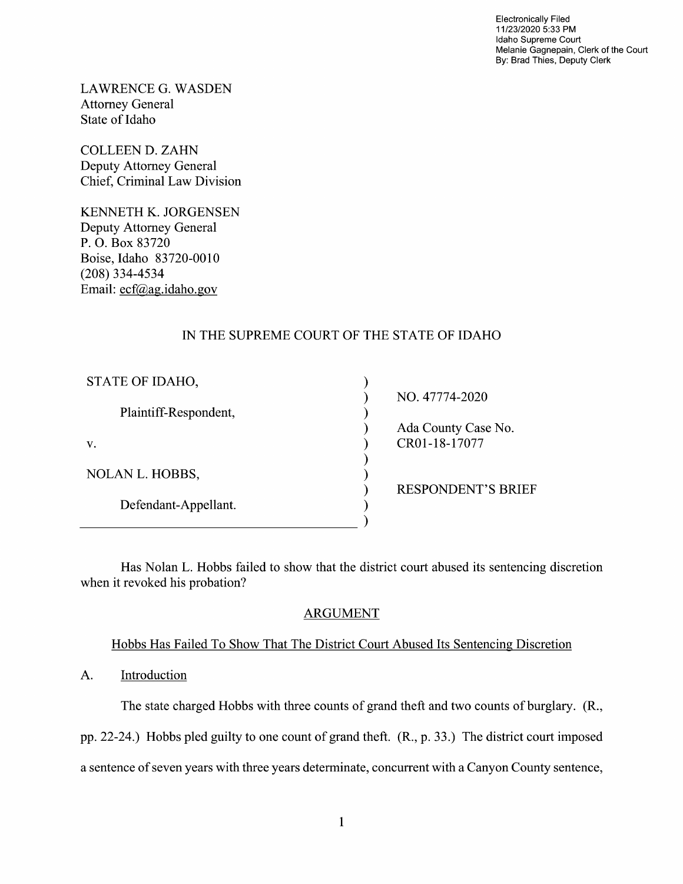Electronically Filed 11/23/2020 5:33 PM Idaho Supreme Court Melanie Gagnepain, Clerk of the Court By: Brad Thies, Deputy Clerk

LAWRENCE G.WASDEN Attorney General State 0f Idaho

COLLEEN D. ZAHN Deputy Attorney General Chief, Criminal Law Division

KENNETH K. JORGENSEN Deputy Attorney General P. O. Box 83720 Boise, Idaho 83720-0010 (208) 334-4534 Email: ecf@ag.idaho.gov

# IN THE SUPREME COURT OF THE STATE OF IDAHO

| STATE OF IDAHO,        |                           |
|------------------------|---------------------------|
|                        | NO. 47774-2020            |
| Plaintiff-Respondent,  |                           |
|                        | Ada County Case No.       |
| V.                     | CR01-18-17077             |
|                        |                           |
| <b>NOLAN L. HOBBS,</b> |                           |
|                        | <b>RESPONDENT'S BRIEF</b> |
| Defendant-Appellant.   |                           |
|                        |                           |

Has Nolan L. Hobbs failed to show that the district court abused its sentencing discretion when it revoked his probation?

## ARGUMENT

## Hobbs Has Failed To Show That The District Court Abused Its Sentencing Discretion

A. Introduction

The state charged Hobbs with three counts of grand theft and two counts of burglary. (R.,

pp. 22-24.) Hobbs pled guilty to one count 0f grand theft. (R., p. 33.) The district court imposed

a sentence of seven years with three years determinate, concurrent with a Canyon County sentence,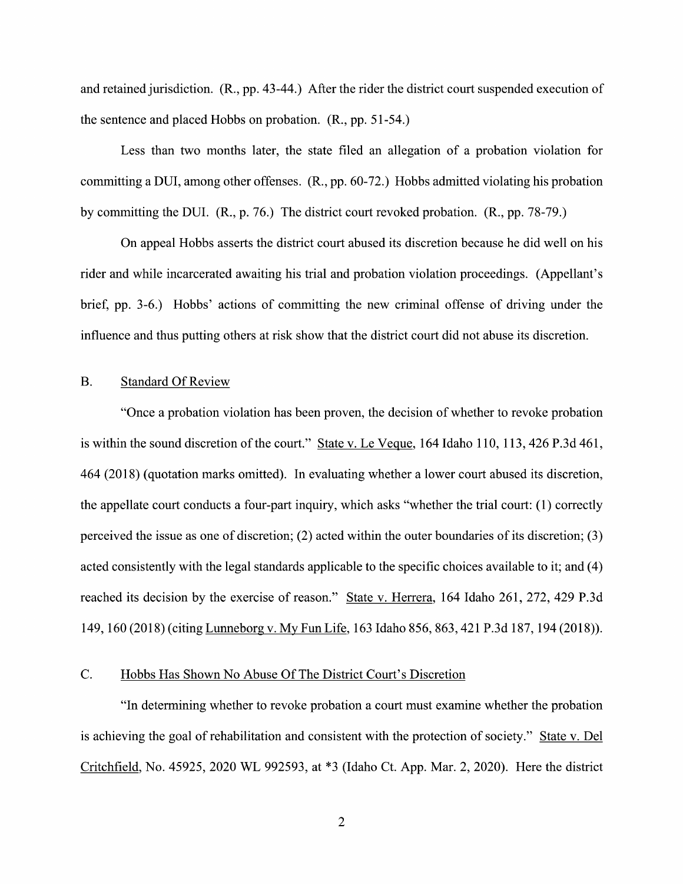and retained jurisdiction. (R., pp. 43-44.) After the rider the district court suspended execution 0f the sentence and placed Hobbs 0n probation. (R., pp. 51-54.)

Less than two months later, the state filed an allegation of a probation violation for committing a DUI, among other offenses.  $(R., pp. 60-72.)$  Hobbs admitted violating his probation by committing the DUI. (R., p. 76.) The district court revoked probation. (R., pp. 78-79.)

On appeal Hobbs asserts the district court abused its discretion because he did well on his rider and while incarcerated awaiting his trial and probation violation proceedings. (Appellant's brief, pp. 3-6.) Hobbs' actions 0f committing the new criminal offense of driving under the influence and thus putting others at risk show that the district court did not abuse its discretion.

### B. Standard Of Review

"Once a probation violation has been proven, the decision of whether to revoke probation is within the sound discretion of the court." State v. Le Vegue, 164 Idaho 110, 113, 426 P.3d 461,  $464$  (2018) (quotation marks omitted). In evaluating whether a lower court abused its discretion, the appellate court conducts a four-part inquiry, which asks "whether the trial court:  $(1)$  correctly perceived the issue as one of discretion; (2) acted Within the outer boundaries of its discretion; (3) acted consistently with the legal standards applicable to the specific choices available to it; and (4) reached its decision by the exercise of reason." State v. Herrera, 164 Idaho 261, 272, 429 P.3d 149, <sup>160</sup> (2018) (citing Lunneborg V. MV Fun Life, <sup>163</sup> Idaho 856, 863, <sup>421</sup> P.3d 187, <sup>194</sup> (2018)).

#### C. Hobbs Has Shown N0 Abuse Of The District Court's Discretion

"In determining Whether t0 revoke probation court must examine Whether the probation is achieving the goal of rehabilitation and consistent with the protection 0f society." State V. Del Critchfield, N0. 45925, <sup>2020</sup> WL 992593, at \*3 (Idaho Ct. App. Mar. 2, 2020). Here the district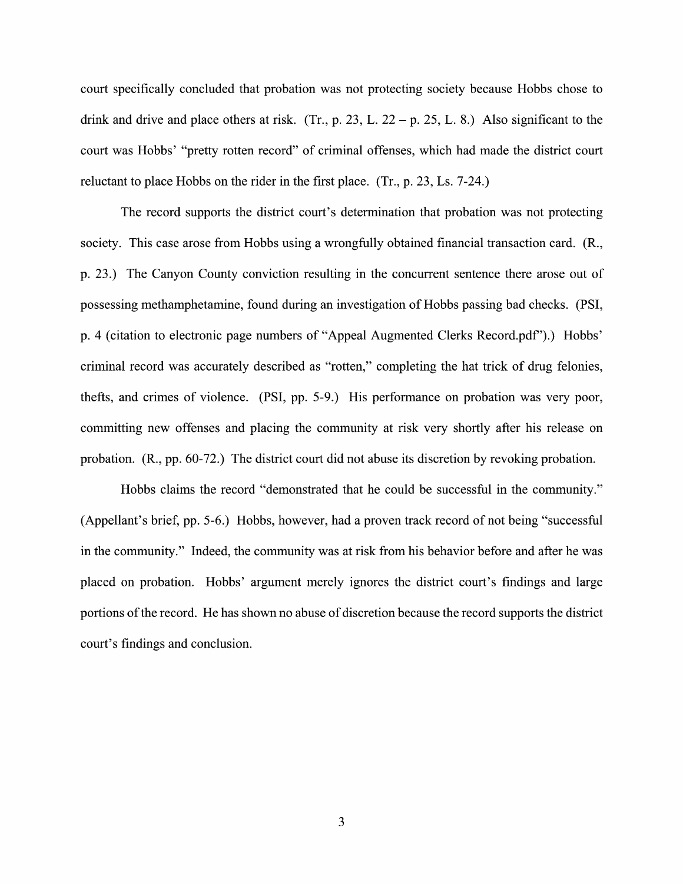court specifically concluded that probation was not protecting society because Hobbs chose to drink and drive and place others at risk. (Tr., p. 23, L.  $22 - p$ , 25, L. 8.) Also significant to the court was Hobbs' "pretty rotten record" of criminal offenses, which had made the district court reluctant to place Hobbs on the rider in the first place.  $(Tr, p. 23, Ls. 7-24.)$ 

The record supports the district court's determination that probation was not protecting society. This case arose from Hobbs using a wrongfully obtained financial transaction card. (R., p. 23.) The Canyon County conviction resulting in the concurrent sentence there arose out 0f possessing methamphetamine, found during an investigation of Hobbs passing bad checks. (PSI, p. 4 (citation to electronic page numbers of "Appeal Augmented Clerks Record.pdf").) Hobbs' criminal record was accurately described as "rotten," completing the hat trick 0f drug felonies, thefts, and crimes 0f Violence. (PSI, pp. 5-9.) His performance 0n probation was very poor, committing new offenses and placing the community at risk very shortly after his release on probation. (R., pp. 60-72.) The district court did not abuse its discretion by revoking probation.

Hobbs claims the record "demonstrated that he could be successfill in the community." (Appellant's brief, pp. 5-6.) Hobbs, however, had a proven track record of not being "successful in the community." Indeed, the community was at risk from his behavior before and after he was placed 0n probation. Hobbs' argument merely ignores the district court's findings and large portions of the record. He has shown no abuse of discretion because the record supports the district court's findings and conclusion.